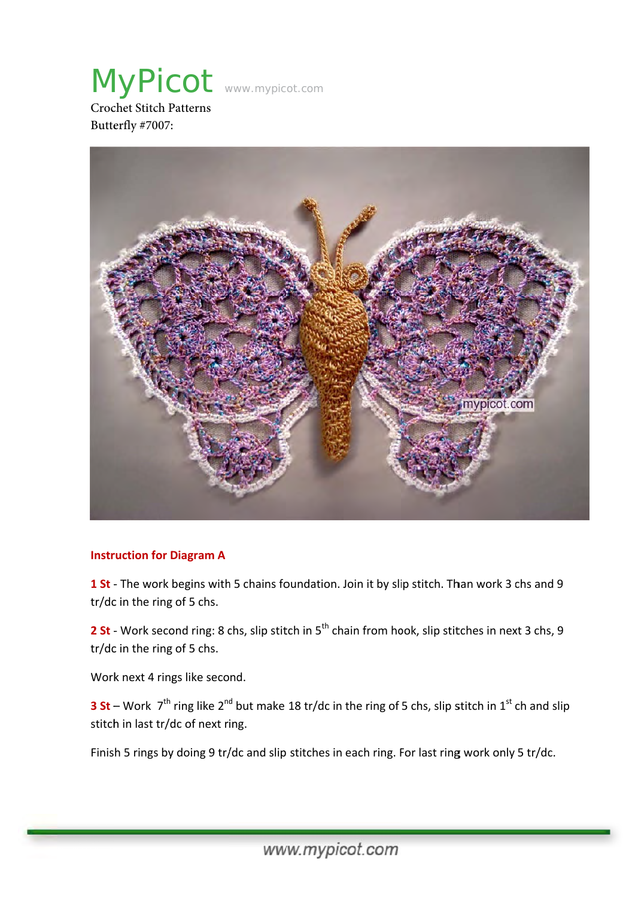MyPicot www.mypicot.com Croc chet Stitch P Patterns



# **Instruction for Diagram A**

1 St - The work begins with 5 chains foundation. Join it by slip stitch. Than work 3 chs and 9 tr/dc in the ring of 5 chs.

2 St - Work second ring: 8 chs, slip stitch in 5<sup>th</sup> chain from hook, slip stitches in next 3 chs, 9 tr/dc c in the ring g of 5 chs.

Work next 4 rings like second.

**3 St** – Work 7<sup>th</sup> ring like 2<sup>nd</sup> but make 18 tr/dc in the ring of 5 chs, slip stitch in 1<sup>st</sup> ch and slip stitch in last tr/dc of next ring.

Finish 5 rings by doing 9 tr/dc and slip stitches in each ring. For last ring work only 5 tr/dc.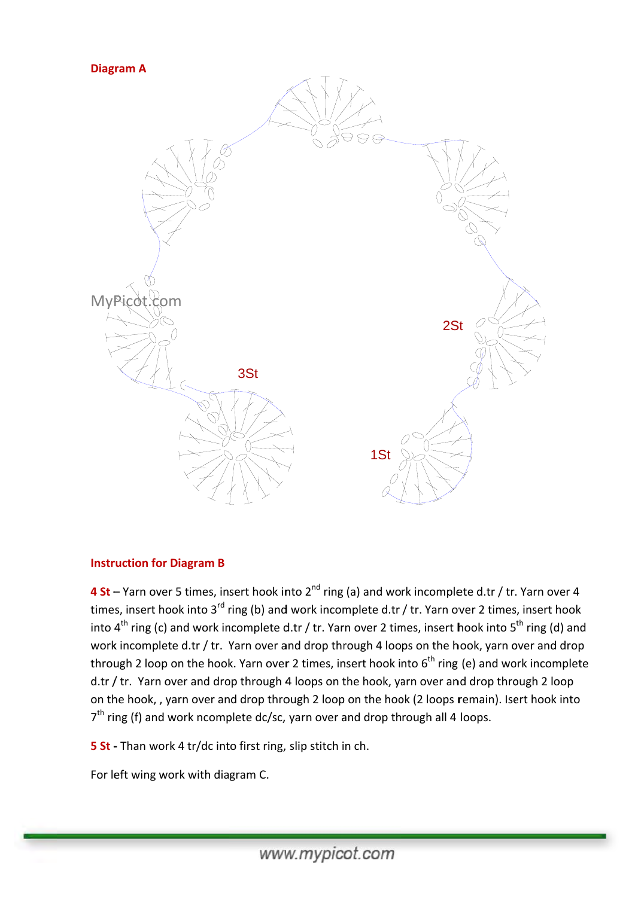### **Diag ram A**



### **Instruction for Diagram B**

4 St – Yarn over 5 times, insert hook into 2<sup>nd</sup> ring (a) and work incomplete d.tr / tr. Yarn over 4 times, insert hook into 3<sup>rd</sup> ring (b) and work incomplete d.tr / tr. Yarn over 2 times, insert hook into 4<sup>th</sup> ring (c) and work incomplete d.tr / tr. Yarn over 2 times, insert hook into 5<sup>th</sup> ring (d) and work incomplete d.tr / tr. Yarn over and drop through 4 loops on the hook, yarn over and drop through 2 loop on the hook. Yarn over 2 times, insert hook into 6<sup>th</sup> ring (e) and work incomplete d.tr / tr. Yarn over and drop through 4 loops on the hook, yarn over and drop through 2 loop on the hook, , yarn over and drop through 2 loop on the hook (2 loops remain). Isert hook into 7<sup>th</sup> ring (f) and work ncomplete dc/sc, yarn over and drop through all 4 loops.

**5 St** - Than work 4 tr/dc into first ring, slip stitch in ch.

For left wing work with diagram C.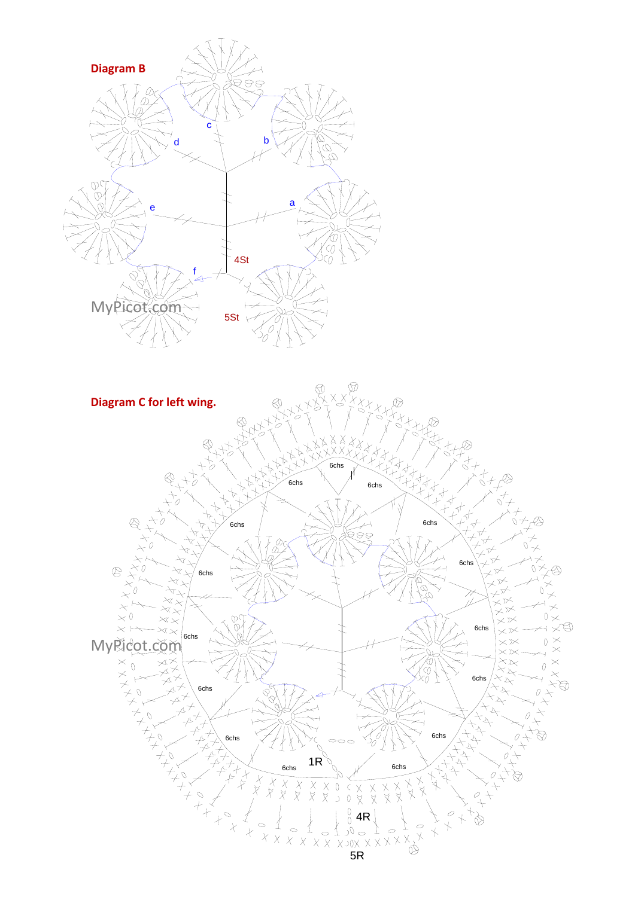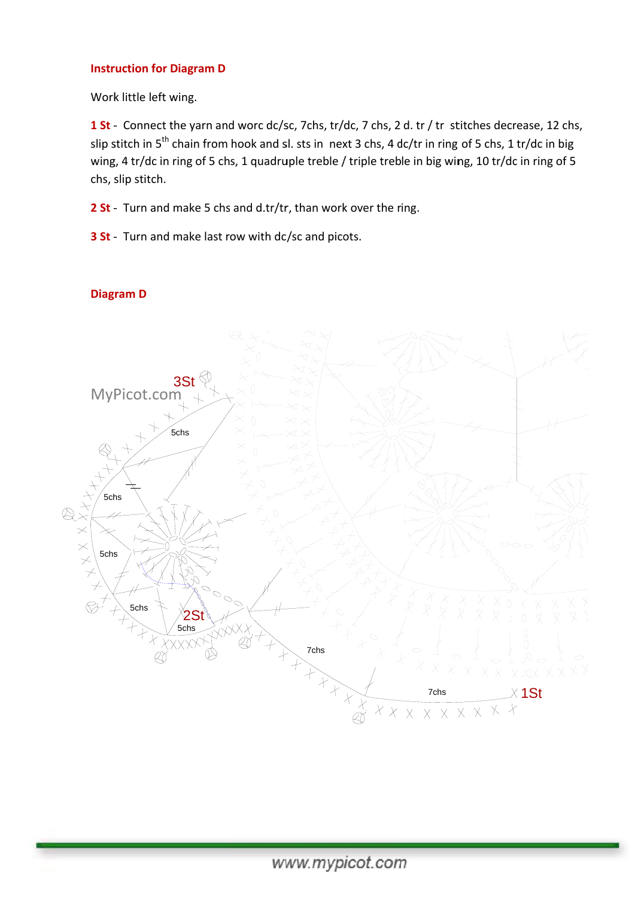### **Instruction for Diagram D**

Work little left wing.

1 St - Connect the yarn and worc dc/sc, 7chs, tr/dc, 7 chs, 2 d. tr / tr stitches decrease, 12 chs, slip stitch in 5<sup>th</sup> chain from hook and sl. sts in next 3 chs, 4 dc/tr in ring of 5 chs, 1 tr/dc in big wing, 4 tr/dc in ring of 5 chs, 1 quadruple treble / triple treble in big wing, 10 tr/dc in ring of 5 chs, s slip stitch.

**2 St** - Turn and make 5 chs and d.tr/tr, than work over the ring.

**3 St** - Turn and make last row with dc/sc and picots.

# md worc dc/s 3St  $\sigma$ MyP Picot.com  $\left(\right)$ 5 5chs 5ch ths<br> $\neq$  $\times$ <br> $\times$ 5chs  $\bigcirc$  $\heartsuit$ 5chs 2St 5chs 'XX∤ RÌ 7chs X  $\chi$  $\times$ X X X X X X X X X  $\overline{\star}$  $\times$  1St 7chs  $\lambda$  $\begin{matrix} \mathcal{X} \ \mathcal{X} \ \mathcal{Y} \end{matrix}$  $X \times X \times X \times X \times X$

## **Diag ram D**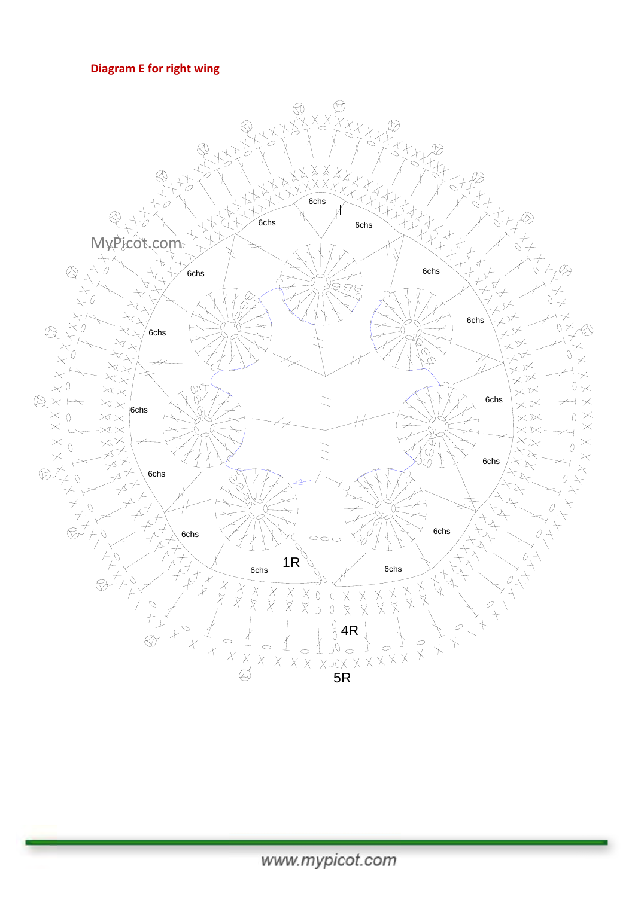# Diagram E for right wing

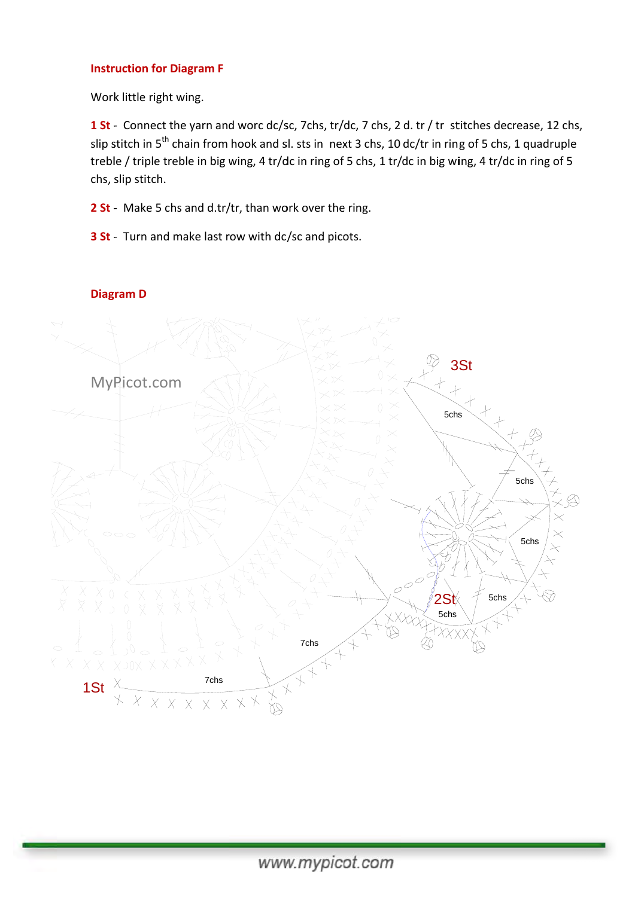### **Instruction for Diagram F**

Work little right wing.

1 St - Connect the yarn and worc dc/sc, 7chs, tr/dc, 7 chs, 2 d. tr / tr stitches decrease, 12 chs, slip stitch in 5<sup>th</sup> chain from hook and sl. sts in next 3 chs, 10 dc/tr in ring of 5 chs, 1 quadruple treble / triple treble in big wing, 4 tr/dc in ring of 5 chs, 1 tr/dc in big wing, 4 tr/dc in ring of 5 chs, s slip stitch.

**2 St** - Make 5 chs and d.tr/tr, than work over the ring.

**3 St** - Turn and make last row with dc/sc and picots.



# **Diag ram D**

www.mypicot.com